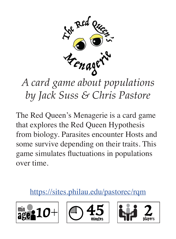

# *by Jack Suss & Chris Pastore*

The Red Queen's Menagerie is a card game that explores the Red Queen Hypothesis from biology. Parasites encounter Hosts and some survive depending on their traits. This game simulates fluctuations in populations over time.

#### https://sites.philau.edu/pastorec/rqm





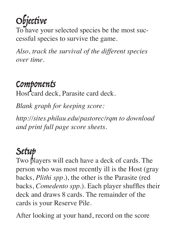Objective

To have your selected species be the most successful species to survive the game.

*Also, track the survival of the different species over time.*

#### Components

Host card deck, Parasite card deck.

*Blank graph for keeping score:* 

*http://sites.philau.edu/pastorec/rqm to download and print full page score sheets.*

Setup Two players will each have a deck of cards. The person who was most recently ill is the Host (gray backs, *Plithi spp*.), the other is the Parasite (red backs, *Comedento spp*.). Each player shuffles their deck and draws 8 cards. The remainder of the cards is your Reserve Pile.

After looking at your hand, record on the score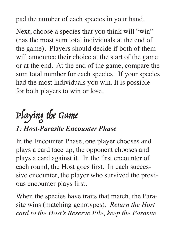pad the number of each species in your hand.

Next, choose a species that you think will "win" (has the most sum total individuals at the end of the game). Players should decide if both of them will announce their choice at the start of the game or at the end. At the end of the game, compare the sum total number for each species. If your species had the most individuals you win. It is possible for both players to win or lose.

## Playing the Game

#### *1: Host-Parasite Encounter Phase*

In the Encounter Phase, one player chooses and plays a card face up, the opponent chooses and plays a card against it. In the first encounter of each round, the Host goes first. In each successive encounter, the player who survived the previous encounter plays first.

When the species have traits that match, the Parasite wins (matching genotypes). *Return the Host card to the Host's Reserve Pile, keep the Parasite*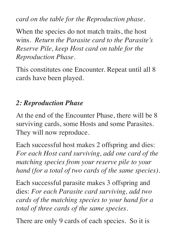*card on the table for the Reproduction phase.*

When the species do not match traits, the host wins. *Return the Parasite card to the Parasite's Reserve Pile, keep Host card on table for the Reproduction Phase.*

This constitutes one Encounter. Repeat until all 8 cards have been played.

#### *2: Reproduction Phase*

At the end of the Encounter Phase, there will be 8 surviving cards, some Hosts and some Parasites. They will now reproduce.

Each successful host makes 2 offspring and dies: *For each Host card surviving, add one card of the matching species from your reserve pile to your hand (for a total of two cards of the same species).*

Each successful parasite makes 3 offspring and dies: *For each Parasite card surviving, add two cards of the matching species to your hand for a total of three cards of the same species.*

There are only 9 cards of each species. So it is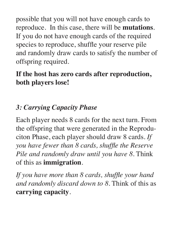possible that you will not have enough cards to reproduce. In this case, there will be **mutations**. If you do not have enough cards of the required species to reproduce, shuffle your reserve pile and randomly draw cards to satisfy the number of offspring required.

#### **If the host has zero cards after reproduction, both players lose!**

#### *3: Carrying Capacity Phase*

Each player needs 8 cards for the next turn. From the offspring that were generated in the Reproduciton Phase, each player should draw 8 cards. *If you have fewer than 8 cards, shuffle the Reserve Pile and randomly draw until you have 8.* Think of this as **immigration**.

*If you have more than 8 cards, shuffle your hand and randomly discard down to 8.* Think of this as **carrying capacity**.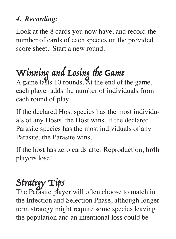#### *4. Recording:*

Look at the 8 cards you now have, and record the number of cards of each species on the provided score sheet. Start a new round.

## Winning and Losing the Game

A game lasts 10 rounds. At the end of the game, each player adds the number of individuals from each round of play.

If the declared Host species has the most individuals of any Hosts, the Host wins. If the declared Parasite species has the most individuals of any Parasite, the Parasite wins.

If the host has zero cards after Reproduction, **both** players lose!

#### Strategy Tips

The Parasite player will often choose to match in the Infection and Selection Phase, although longer term strategy might require some species leaving the population and an intentional loss could be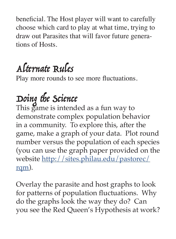beneficial. The Host player will want to carefully choose which card to play at what time, trying to draw out Parasites that will favor future generations of Hosts.

### Alternate Rules

Play more rounds to see more fluctuations.

## Doing the Science

This game is intended as a fun way to demonstrate complex population behavior in a community. To explore this, after the game, make a graph of your data. Plot round number versus the population of each species (you can use the graph paper provided on the website http://sites.philau.edu/pastorec/ rqm).

Overlay the parasite and host graphs to look for patterns of population fluctuations. Why do the graphs look the way they do? Can you see the Red Queen's Hypothesis at work?